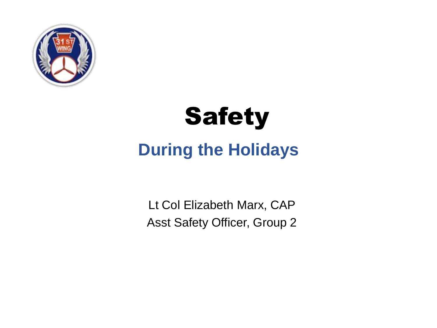



#### **During the Holidays**

Lt Col Elizabeth Marx, CAP Asst Safety Officer, Group 2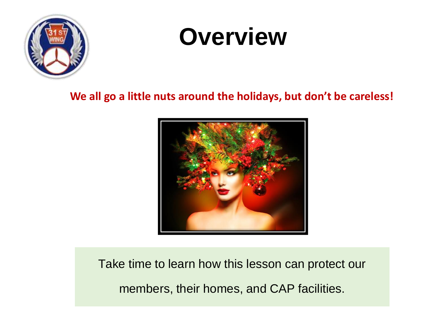

# **Overview**

**We all go a little nuts around the holidays, but don't be careless!**



Take time to learn how this lesson can protect our members, their homes, and CAP facilities.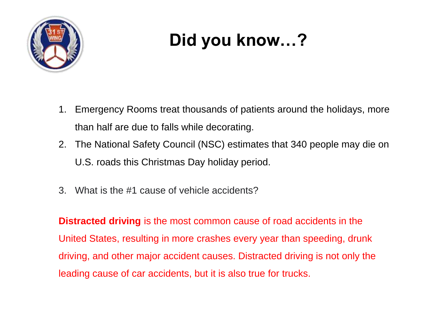

### **Did you know…?**

- 1. Emergency Rooms treat thousands of patients around the holidays, more than half are due to falls while decorating.
- 2. The National Safety Council (NSC) estimates that 340 people may die on U.S. roads this Christmas Day holiday period.
- 3. What is the #1 cause of vehicle accidents?

**Distracted driving** is the most common cause of road accidents in the United States, resulting in more crashes every year than speeding, drunk driving, and other major accident causes. Distracted driving is not only the leading cause of car accidents, but it is also true for trucks.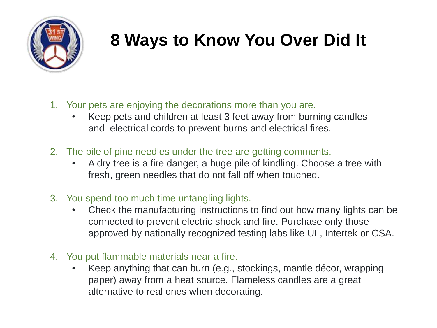

#### **8 Ways to Know You Over Did It**

- 1. Your pets are enjoying the decorations more than you are.
	- Keep pets and children at least 3 feet away from burning candles and electrical cords to prevent burns and electrical fires.
- 2. The pile of pine needles under the tree are getting comments.
	- A dry tree is a fire danger, a huge pile of kindling. Choose a tree with fresh, green needles that do not fall off when touched.
- 3. You spend too much time untangling lights.
	- Check the manufacturing instructions to find out how many lights can be connected to prevent electric shock and fire. Purchase only those approved by nationally recognized testing labs like UL, Intertek or CSA.
- 4. You put flammable materials near a fire.
	- Keep anything that can burn (e.g., stockings, mantle décor, wrapping paper) away from a heat source. Flameless candles are a great alternative to real ones when decorating.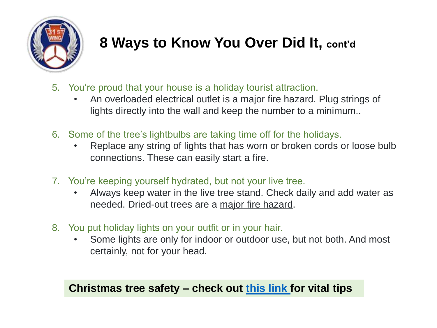

#### **8 Ways to Know You Over Did It, cont'd**

- 5. You're proud that your house is a holiday tourist attraction.
	- An overloaded electrical outlet is a major fire hazard. Plug strings of lights directly into the wall and keep the number to a minimum..
- 6. Some of the tree's lightbulbs are taking time off for the holidays.
	- Replace any string of lights that has worn or broken cords or loose bulb connections. These can easily start a fire.
- 7. You're keeping yourself hydrated, but not your live tree.
	- Always keep water in the live tree stand. Check daily and add water as needed. Dried-out trees are a major fire hazard.
- 8. You put holiday lights on your outfit or in your hair.
	- Some lights are only for indoor or outdoor use, but not both. And most certainly, not for your head.

#### **Christmas tree safety – check out [this link f](https://www.nfpa.org/-/media/Images/Blog-Images/Blog-Post-Attachments/Safety-Source-from-Xchange/17822/ChristmasTreeSafetytipsheet.ashx?h=744&w=571&la=en&hash=A3989299A68F7298CA5ACD6EE6461C2F)or vital tips**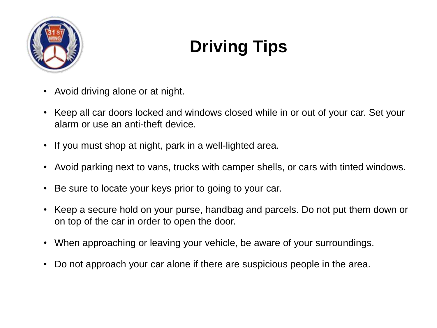

### **Driving Tips**

- Avoid driving alone or at night.
- Keep all car doors locked and windows closed while in or out of your car. Set your alarm or use an anti-theft device.
- If you must shop at night, park in a well-lighted area.
- Avoid parking next to vans, trucks with camper shells, or cars with tinted windows.
- Be sure to locate your keys prior to going to your car.
- Keep a secure hold on your purse, handbag and parcels. Do not put them down or on top of the car in order to open the door.
- When approaching or leaving your vehicle, be aware of your surroundings.
- Do not approach your car alone if there are suspicious people in the area.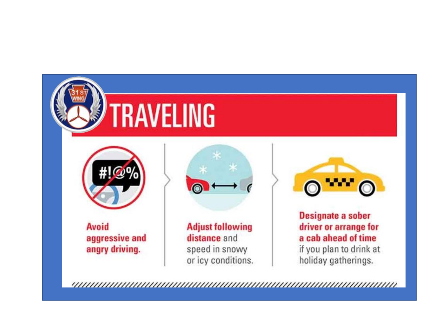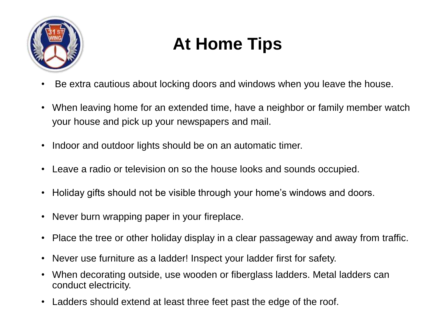

### **At Home Tips**

- Be extra cautious about locking doors and windows when you leave the house.
- When leaving home for an extended time, have a neighbor or family member watch your house and pick up your newspapers and mail.
- Indoor and outdoor lights should be on an automatic timer.
- Leave a radio or television on so the house looks and sounds occupied.
- Holiday gifts should not be visible through your home's windows and doors.
- Never burn wrapping paper in your fireplace.
- Place the tree or other holiday display in a clear passageway and away from traffic.
- Never use furniture as a ladder! Inspect your ladder first for safety.
- When decorating outside, use wooden or fiberglass ladders. Metal ladders can conduct electricity.
- Ladders should extend at least three feet past the edge of the roof.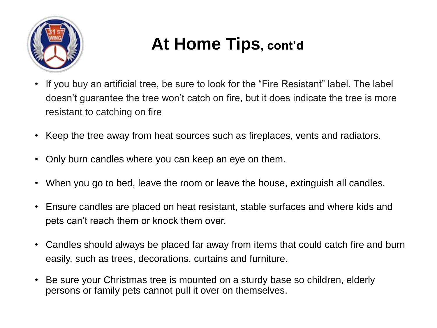

#### **At Home Tips, cont'd**

- If you buy an artificial tree, be sure to look for the "Fire Resistant" label. The label doesn't guarantee the tree won't catch on fire, but it does indicate the tree is more resistant to catching on fire
- Keep the tree away from heat sources such as fireplaces, vents and radiators.
- Only burn candles where you can keep an eye on them.
- When you go to bed, leave the room or leave the house, extinguish all candles.
- Ensure candles are placed on heat resistant, stable surfaces and where kids and pets can't reach them or knock them over.
- Candles should always be placed far away from items that could catch fire and burn easily, such as trees, decorations, curtains and furniture.
- Be sure your Christmas tree is mounted on a sturdy base so children, elderly persons or family pets cannot pull it over on themselves.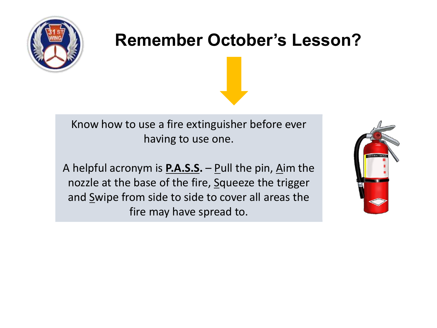

#### **Remember October's Lesson?**

Know how to use a fire extinguisher before ever having to use one.

A helpful acronym is **[P.A.S.S.](https://www.firstalert.com/community/safety-corner/p-a-s-s-the-fire-extinguisher/)** – Pull the pin, Aim the nozzle at the base of the fire, Squeeze the trigger and Swipe from side to side to cover all areas the fire may have spread to.

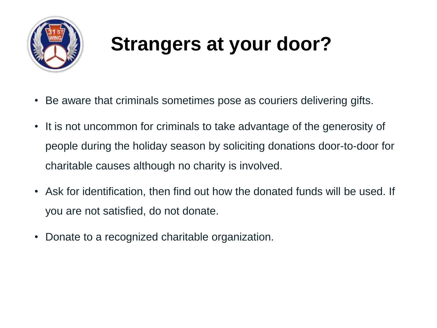

## **Strangers at your door?**

- Be aware that criminals sometimes pose as couriers delivering gifts.
- It is not uncommon for criminals to take advantage of the generosity of people during the holiday season by soliciting donations door-to-door for charitable causes although no charity is involved.
- Ask for identification, then find out how the donated funds will be used. If you are not satisfied, do not donate.
- Donate to a recognized charitable organization.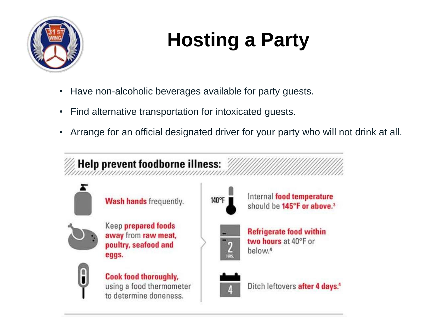

# **Hosting a Party**

- Have non-alcoholic beverages available for party guests.
- Find alternative transportation for intoxicated guests.
- Arrange for an official designated driver for your party who will not drink at all.

#### Help prevent foodborne illness:



Wash hands frequently.



**Keep prepared foods** away from raw meat, poultry, seafood and eggs.



Cook food thoroughly, using a food thermometer to determine doneness.



Internal food temperature should be 145°F or above.<sup>3</sup>



**Refrigerate food within** two hours at 40°F or below.<sup>4</sup>



Ditch leftovers after 4 days.<sup>4</sup>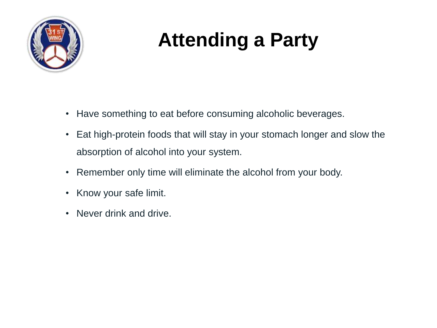

### **Attending a Party**

- Have something to eat before consuming alcoholic beverages.
- Eat high-protein foods that will stay in your stomach longer and slow the absorption of alcohol into your system.
- Remember only time will eliminate the alcohol from your body.
- Know your safe limit.
- Never drink and drive.